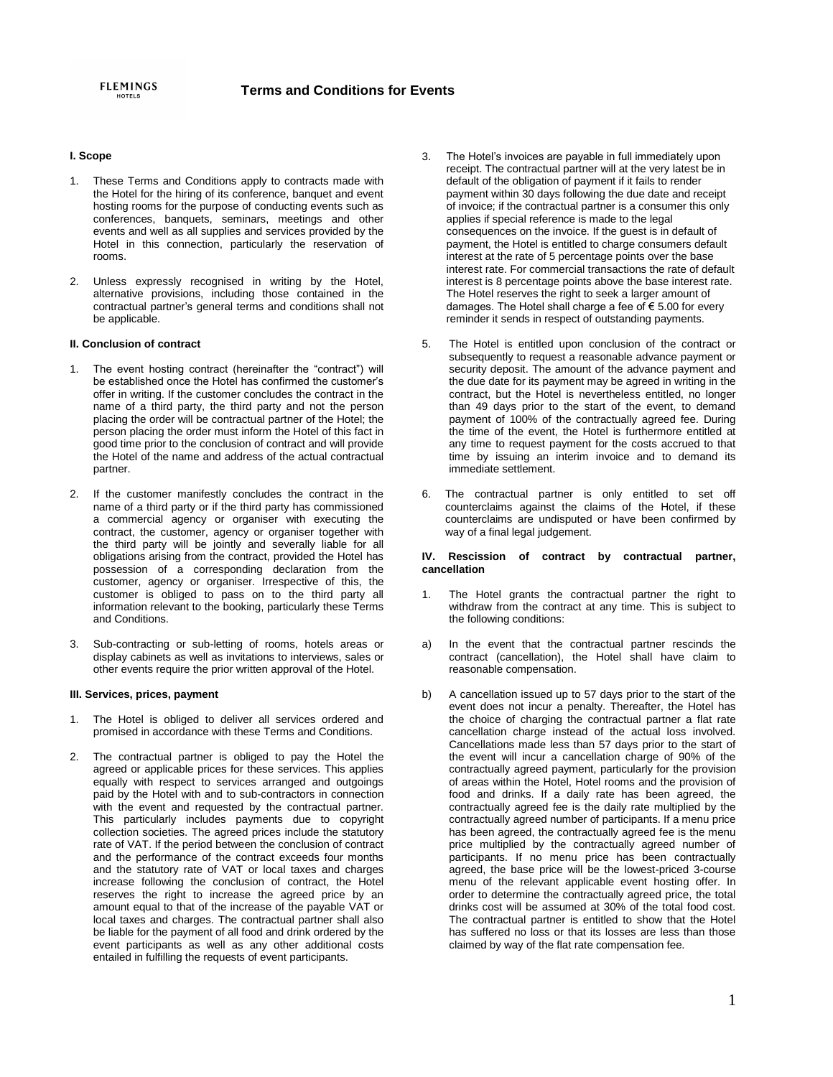# **I. Scope**

- 1. These Terms and Conditions apply to contracts made with the Hotel for the hiring of its conference, banquet and event hosting rooms for the purpose of conducting events such as conferences, banquets, seminars, meetings and other events and well as all supplies and services provided by the Hotel in this connection, particularly the reservation of rooms.
- 2. Unless expressly recognised in writing by the Hotel, alternative provisions, including those contained in the contractual partner's general terms and conditions shall not be applicable.

### **II. Conclusion of contract**

- 1. The event hosting contract (hereinafter the "contract") will be established once the Hotel has confirmed the customer's offer in writing. If the customer concludes the contract in the name of a third party, the third party and not the person placing the order will be contractual partner of the Hotel; the person placing the order must inform the Hotel of this fact in good time prior to the conclusion of contract and will provide the Hotel of the name and address of the actual contractual partner.
- 2. If the customer manifestly concludes the contract in the name of a third party or if the third party has commissioned a commercial agency or organiser with executing the contract, the customer, agency or organiser together with the third party will be jointly and severally liable for all obligations arising from the contract, provided the Hotel has possession of a corresponding declaration from the customer, agency or organiser. Irrespective of this, the customer is obliged to pass on to the third party all information relevant to the booking, particularly these Terms and Conditions.
- 3. Sub-contracting or sub-letting of rooms, hotels areas or display cabinets as well as invitations to interviews, sales or other events require the prior written approval of the Hotel.

### **III. Services, prices, payment**

- 1. The Hotel is obliged to deliver all services ordered and promised in accordance with these Terms and Conditions.
- 2. The contractual partner is obliged to pay the Hotel the agreed or applicable prices for these services. This applies equally with respect to services arranged and outgoings paid by the Hotel with and to sub-contractors in connection with the event and requested by the contractual partner. This particularly includes payments due to copyright collection societies. The agreed prices include the statutory rate of VAT. If the period between the conclusion of contract and the performance of the contract exceeds four months and the statutory rate of VAT or local taxes and charges increase following the conclusion of contract, the Hotel reserves the right to increase the agreed price by an amount equal to that of the increase of the payable VAT or local taxes and charges. The contractual partner shall also be liable for the payment of all food and drink ordered by the event participants as well as any other additional costs entailed in fulfilling the requests of event participants.
- 3. The Hotel's invoices are payable in full immediately upon receipt. The contractual partner will at the very latest be in default of the obligation of payment if it fails to render payment within 30 days following the due date and receipt of invoice; if the contractual partner is a consumer this only applies if special reference is made to the legal consequences on the invoice. If the guest is in default of payment, the Hotel is entitled to charge consumers default interest at the rate of 5 percentage points over the base interest rate. For commercial transactions the rate of default interest is 8 percentage points above the base interest rate. The Hotel reserves the right to seek a larger amount of damages. The Hotel shall charge a fee of  $\epsilon$  5.00 for every reminder it sends in respect of outstanding payments.
- 5. The Hotel is entitled upon conclusion of the contract or subsequently to request a reasonable advance payment or security deposit. The amount of the advance payment and the due date for its payment may be agreed in writing in the contract, but the Hotel is nevertheless entitled, no longer than 49 days prior to the start of the event, to demand payment of 100% of the contractually agreed fee. During the time of the event, the Hotel is furthermore entitled at any time to request payment for the costs accrued to that time by issuing an interim invoice and to demand its immediate settlement.
- 6. The contractual partner is only entitled to set off counterclaims against the claims of the Hotel, if these counterclaims are undisputed or have been confirmed by way of a final legal judgement.

#### **IV. Rescission of contract by contractual partner, cancellation**

- 1. The Hotel grants the contractual partner the right to withdraw from the contract at any time. This is subject to the following conditions:
- a) In the event that the contractual partner rescinds the contract (cancellation), the Hotel shall have claim to reasonable compensation.
- b) A cancellation issued up to 57 days prior to the start of the event does not incur a penalty. Thereafter, the Hotel has the choice of charging the contractual partner a flat rate cancellation charge instead of the actual loss involved. Cancellations made less than 57 days prior to the start of the event will incur a cancellation charge of 90% of the contractually agreed payment, particularly for the provision of areas within the Hotel, Hotel rooms and the provision of food and drinks. If a daily rate has been agreed, the contractually agreed fee is the daily rate multiplied by the contractually agreed number of participants. If a menu price has been agreed, the contractually agreed fee is the menu price multiplied by the contractually agreed number of participants. If no menu price has been contractually agreed, the base price will be the lowest-priced 3-course menu of the relevant applicable event hosting offer. In order to determine the contractually agreed price, the total drinks cost will be assumed at 30% of the total food cost. The contractual partner is entitled to show that the Hotel has suffered no loss or that its losses are less than those claimed by way of the flat rate compensation fee.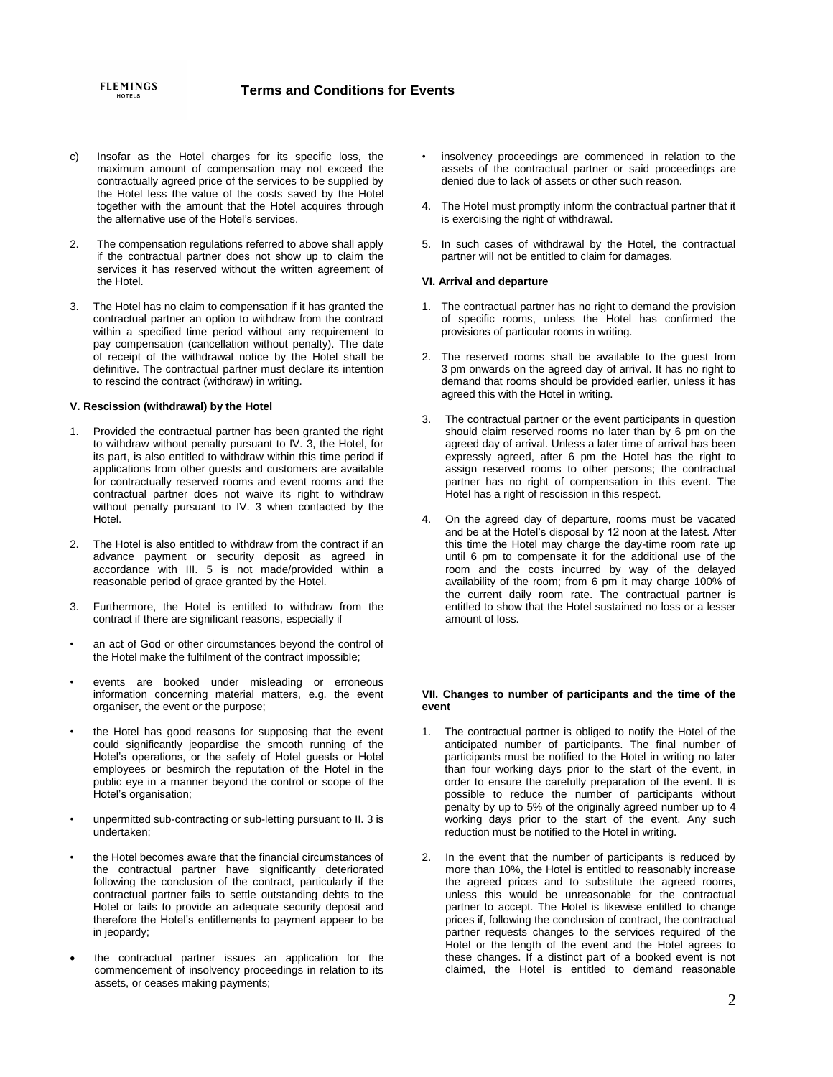- c) Insofar as the Hotel charges for its specific loss, the maximum amount of compensation may not exceed the contractually agreed price of the services to be supplied by the Hotel less the value of the costs saved by the Hotel together with the amount that the Hotel acquires through the alternative use of the Hotel's services.
- 2. The compensation regulations referred to above shall apply if the contractual partner does not show up to claim the services it has reserved without the written agreement of the Hotel.
- 3. The Hotel has no claim to compensation if it has granted the contractual partner an option to withdraw from the contract within a specified time period without any requirement to pay compensation (cancellation without penalty). The date of receipt of the withdrawal notice by the Hotel shall be definitive. The contractual partner must declare its intention to rescind the contract (withdraw) in writing.

## **V. Rescission (withdrawal) by the Hotel**

- 1. Provided the contractual partner has been granted the right to withdraw without penalty pursuant to IV. 3, the Hotel, for its part, is also entitled to withdraw within this time period if applications from other guests and customers are available for contractually reserved rooms and event rooms and the contractual partner does not waive its right to withdraw without penalty pursuant to IV. 3 when contacted by the Hotel.
- 2. The Hotel is also entitled to withdraw from the contract if an advance payment or security deposit as agreed in accordance with III. 5 is not made/provided within a reasonable period of grace granted by the Hotel.
- 3. Furthermore, the Hotel is entitled to withdraw from the contract if there are significant reasons, especially if
- an act of God or other circumstances beyond the control of the Hotel make the fulfilment of the contract impossible;
- events are booked under misleading or erroneous information concerning material matters, e.g. the event organiser, the event or the purpose;
- the Hotel has good reasons for supposing that the event could significantly jeopardise the smooth running of the Hotel's operations, or the safety of Hotel guests or Hotel employees or besmirch the reputation of the Hotel in the public eye in a manner beyond the control or scope of the Hotel's organisation;
- unpermitted sub-contracting or sub-letting pursuant to II. 3 is undertaken;
- the Hotel becomes aware that the financial circumstances of the contractual partner have significantly deteriorated following the conclusion of the contract, particularly if the contractual partner fails to settle outstanding debts to the Hotel or fails to provide an adequate security deposit and therefore the Hotel's entitlements to payment appear to be in jeopardy;
- the contractual partner issues an application for the commencement of insolvency proceedings in relation to its assets, or ceases making payments;
- insolvency proceedings are commenced in relation to the assets of the contractual partner or said proceedings are denied due to lack of assets or other such reason.
- 4. The Hotel must promptly inform the contractual partner that it is exercising the right of withdrawal.
- 5. In such cases of withdrawal by the Hotel, the contractual partner will not be entitled to claim for damages.

### **VI. Arrival and departure**

- 1. The contractual partner has no right to demand the provision of specific rooms, unless the Hotel has confirmed the provisions of particular rooms in writing.
- 2. The reserved rooms shall be available to the guest from 3 pm onwards on the agreed day of arrival. It has no right to demand that rooms should be provided earlier, unless it has agreed this with the Hotel in writing.
- 3. The contractual partner or the event participants in question should claim reserved rooms no later than by 6 pm on the agreed day of arrival. Unless a later time of arrival has been expressly agreed, after 6 pm the Hotel has the right to assign reserved rooms to other persons; the contractual partner has no right of compensation in this event. The Hotel has a right of rescission in this respect.
- 4. On the agreed day of departure, rooms must be vacated and be at the Hotel's disposal by 12 noon at the latest. After this time the Hotel may charge the day-time room rate up until 6 pm to compensate it for the additional use of the room and the costs incurred by way of the delayed availability of the room; from 6 pm it may charge 100% of the current daily room rate. The contractual partner is entitled to show that the Hotel sustained no loss or a lesser amount of loss.

# **VII. Changes to number of participants and the time of the event**

- 1. The contractual partner is obliged to notify the Hotel of the anticipated number of participants. The final number of participants must be notified to the Hotel in writing no later than four working days prior to the start of the event, in order to ensure the carefully preparation of the event. It is possible to reduce the number of participants without penalty by up to 5% of the originally agreed number up to 4 working days prior to the start of the event. Any such reduction must be notified to the Hotel in writing.
- 2. In the event that the number of participants is reduced by more than 10%, the Hotel is entitled to reasonably increase the agreed prices and to substitute the agreed rooms, unless this would be unreasonable for the contractual partner to accept. The Hotel is likewise entitled to change prices if, following the conclusion of contract, the contractual partner requests changes to the services required of the Hotel or the length of the event and the Hotel agrees to these changes. If a distinct part of a booked event is not claimed, the Hotel is entitled to demand reasonable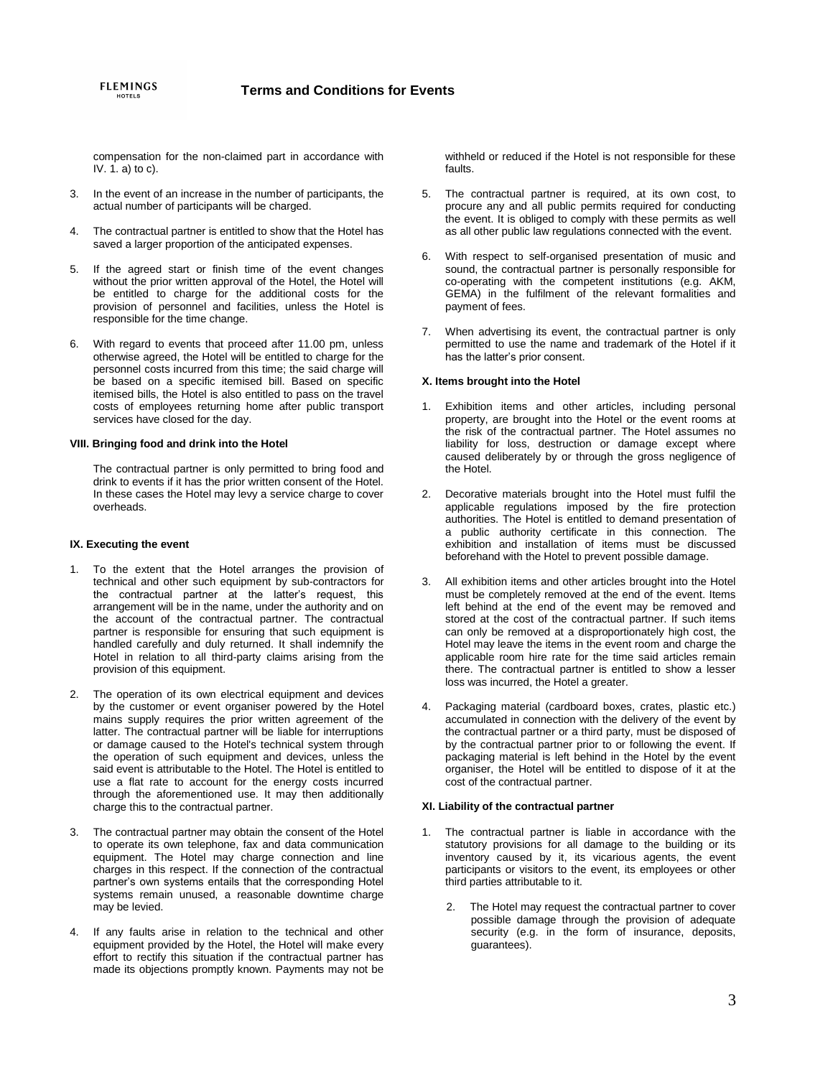compensation for the non-claimed part in accordance with IV. 1. a) to c).

- 3. In the event of an increase in the number of participants, the actual number of participants will be charged.
- 4. The contractual partner is entitled to show that the Hotel has saved a larger proportion of the anticipated expenses.
- 5. If the agreed start or finish time of the event changes without the prior written approval of the Hotel, the Hotel will be entitled to charge for the additional costs for the provision of personnel and facilities, unless the Hotel is responsible for the time change.
- 6. With regard to events that proceed after 11.00 pm, unless otherwise agreed, the Hotel will be entitled to charge for the personnel costs incurred from this time; the said charge will be based on a specific itemised bill. Based on specific itemised bills, the Hotel is also entitled to pass on the travel costs of employees returning home after public transport services have closed for the day.

# **VIII. Bringing food and drink into the Hotel**

The contractual partner is only permitted to bring food and drink to events if it has the prior written consent of the Hotel. In these cases the Hotel may levy a service charge to cover overheads.

## **IX. Executing the event**

- 1. To the extent that the Hotel arranges the provision of technical and other such equipment by sub-contractors for the contractual partner at the latter's request, this arrangement will be in the name, under the authority and on the account of the contractual partner. The contractual partner is responsible for ensuring that such equipment is handled carefully and duly returned. It shall indemnify the Hotel in relation to all third-party claims arising from the provision of this equipment.
- 2. The operation of its own electrical equipment and devices by the customer or event organiser powered by the Hotel mains supply requires the prior written agreement of the latter. The contractual partner will be liable for interruptions or damage caused to the Hotel's technical system through the operation of such equipment and devices, unless the said event is attributable to the Hotel. The Hotel is entitled to use a flat rate to account for the energy costs incurred through the aforementioned use. It may then additionally charge this to the contractual partner.
- 3. The contractual partner may obtain the consent of the Hotel to operate its own telephone, fax and data communication equipment. The Hotel may charge connection and line charges in this respect. If the connection of the contractual partner's own systems entails that the corresponding Hotel systems remain unused, a reasonable downtime charge may be levied.
- 4. If any faults arise in relation to the technical and other equipment provided by the Hotel, the Hotel will make every effort to rectify this situation if the contractual partner has made its objections promptly known. Payments may not be

withheld or reduced if the Hotel is not responsible for these faults.

- 5. The contractual partner is required, at its own cost, to procure any and all public permits required for conducting the event. It is obliged to comply with these permits as well as all other public law regulations connected with the event.
- 6. With respect to self-organised presentation of music and sound, the contractual partner is personally responsible for co-operating with the competent institutions (e.g. AKM, GEMA) in the fulfilment of the relevant formalities and payment of fees.
- 7. When advertising its event, the contractual partner is only permitted to use the name and trademark of the Hotel if it has the latter's prior consent.

# **X. Items brought into the Hotel**

- 1. Exhibition items and other articles, including personal property, are brought into the Hotel or the event rooms at the risk of the contractual partner. The Hotel assumes no liability for loss, destruction or damage except where caused deliberately by or through the gross negligence of the Hotel.
- 2. Decorative materials brought into the Hotel must fulfil the applicable regulations imposed by the fire protection authorities. The Hotel is entitled to demand presentation of a public authority certificate in this connection. The exhibition and installation of items must be discussed beforehand with the Hotel to prevent possible damage.
- 3. All exhibition items and other articles brought into the Hotel must be completely removed at the end of the event. Items left behind at the end of the event may be removed and stored at the cost of the contractual partner. If such items can only be removed at a disproportionately high cost, the Hotel may leave the items in the event room and charge the applicable room hire rate for the time said articles remain there. The contractual partner is entitled to show a lesser loss was incurred, the Hotel a greater.
- 4. Packaging material (cardboard boxes, crates, plastic etc.) accumulated in connection with the delivery of the event by the contractual partner or a third party, must be disposed of by the contractual partner prior to or following the event. If packaging material is left behind in the Hotel by the event organiser, the Hotel will be entitled to dispose of it at the cost of the contractual partner.

### **XI. Liability of the contractual partner**

- The contractual partner is liable in accordance with the statutory provisions for all damage to the building or its inventory caused by it, its vicarious agents, the event participants or visitors to the event, its employees or other third parties attributable to it.
	- 2. The Hotel may request the contractual partner to cover possible damage through the provision of adequate security (e.g. in the form of insurance, deposits, guarantees).